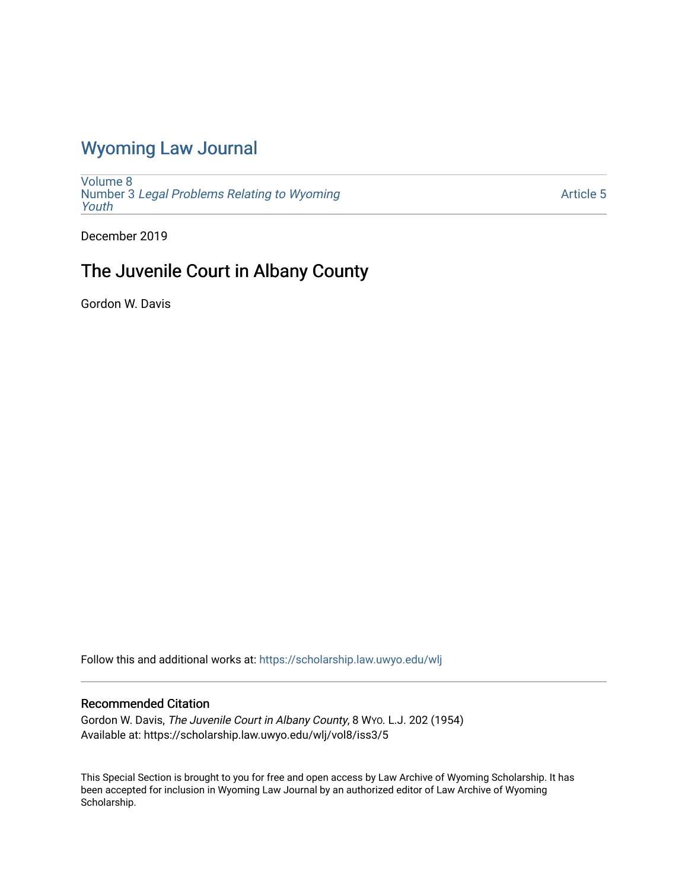## [Wyoming Law Journal](https://scholarship.law.uwyo.edu/wlj)

[Volume 8](https://scholarship.law.uwyo.edu/wlj/vol8) Number 3 [Legal Problems Relating to Wyoming](https://scholarship.law.uwyo.edu/wlj/vol8/iss3) [Youth](https://scholarship.law.uwyo.edu/wlj/vol8/iss3)

[Article 5](https://scholarship.law.uwyo.edu/wlj/vol8/iss3/5) 

December 2019

# The Juvenile Court in Albany County

Gordon W. Davis

Follow this and additional works at: [https://scholarship.law.uwyo.edu/wlj](https://scholarship.law.uwyo.edu/wlj?utm_source=scholarship.law.uwyo.edu%2Fwlj%2Fvol8%2Fiss3%2F5&utm_medium=PDF&utm_campaign=PDFCoverPages) 

### Recommended Citation

Gordon W. Davis, The Juvenile Court in Albany County, 8 WYO. L.J. 202 (1954) Available at: https://scholarship.law.uwyo.edu/wlj/vol8/iss3/5

This Special Section is brought to you for free and open access by Law Archive of Wyoming Scholarship. It has been accepted for inclusion in Wyoming Law Journal by an authorized editor of Law Archive of Wyoming Scholarship.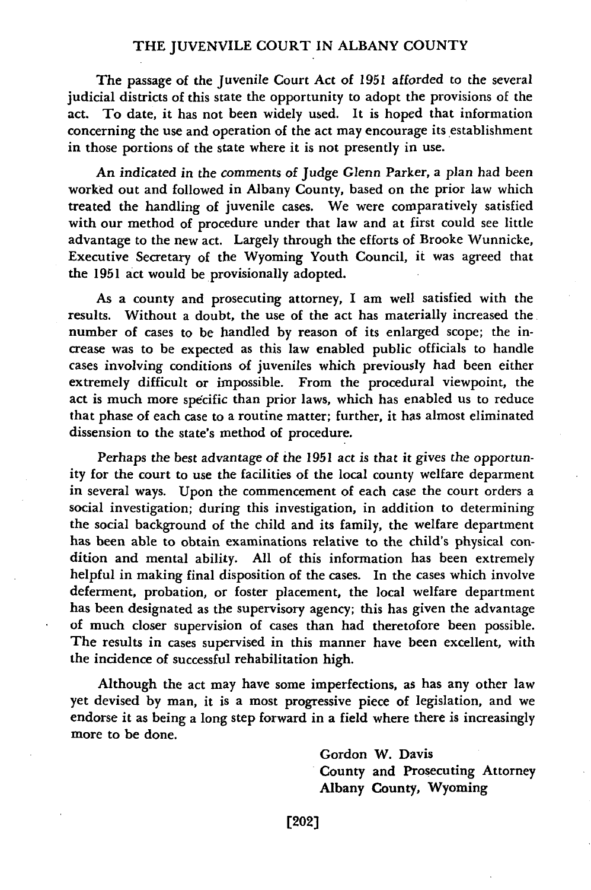#### THE JUVENVILE COURT IN ALBANY COUNTY

The passage of the Juvenile Court Act of **1951** afforded to the several judicial districts of this state the opportunity to adopt the provisions of the act. To date, it has not been widely used. It is hoped that information concerning the use and operation of the act may encourage its establishment in those portions of the state where it is not presently in use.

An indicated in the comments of Judge Glenn Parker, a plan had been worked out and followed in Albany County, based on the prior law which treated the handling of juvenile cases. We were comparatively satisfied with our method of procedure under that law and at first could see little advantage to the new act. Largely through the efforts of Brooke Wunnicke, Executive Secretary of the Wyoming Youth Council, it was agreed that the **1951** act would be provisionally adopted.

As a county and prosecuting attorney, **I** am well satisfied with the results. Without a doubt, the use of the act has materially increased the number of cases to **be** handled **by** reason of its enlarged scope; the increase was to be expected as this law enabled public officials to handle cases involving conditions of juveniles which previously had been either extremely difficult or impossible. From the procedural viewpoint, the act is much more specific than prior laws, which has enabled us to reduce that phase of each case to a routine matter; further, it has almost eliminated dissension to the state's method of procedure.

Perhaps the best advantage of the **1951** act is that it gives the opportunity for the court to use the facilities of the local county welfare deparment in several ways. Upon the commencement of each case the court orders a social investigation; during this investigation, in addition to determining the social background of the child and its family, the welfare department has been able to obtain examinations relative to the child's physical condition and mental ability. **All** of this information has been extremely helpful in making final disposition of the cases. In the cases which involve deferment, probation, or foster placement, the local welfare department has been designated as the supervisory agency; this has given the advantage of much closer supervision of cases than had theretofore been possible. The results in cases supervised in this manner have been excellent, with the incidence of successful rehabilitation high.

Although the act may have some imperfections, as has any other law yet devised **by** man, it is a most progressive piece of legislation, and we endorse it as being a long step forward in a field where there is increasingly more to be done.

> Gordon W. Davis County and Prosecuting Attorney Albany County, Wyoming

[202]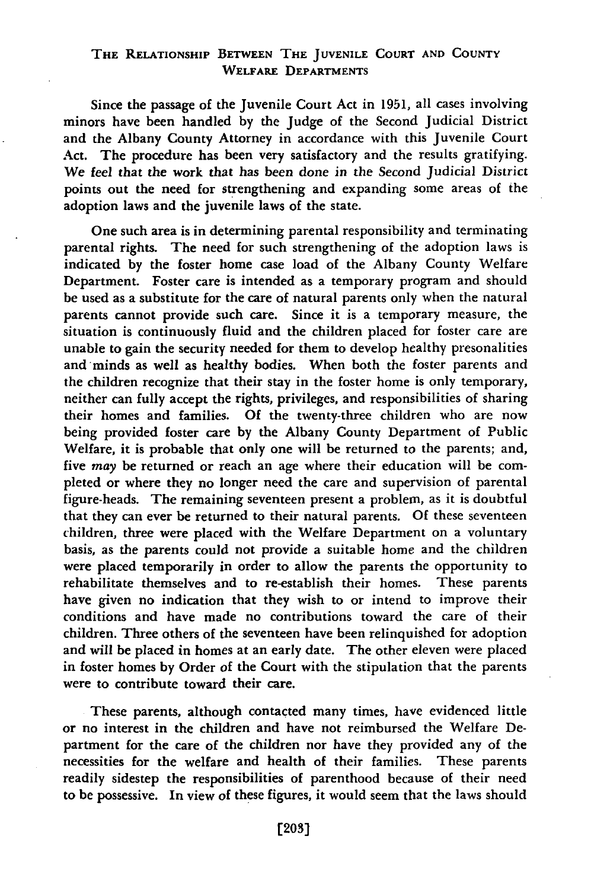### THE RELATIONSHIP **BETWEEN** THE **JUVENILE COURT AND COUNTY** WELFARE DEPARTMENTS

Since the passage of the Juvenile Court Act in **1951,** all cases involving minors have been handled by the Judge of the Second Judicial District and the Albany County Attorney in accordance with this Juvenile Court Act. The procedure has been very satisfactory and the results gratifying. We feel that the work that has been done in the Second Judicial District points out the need for strengthening and expanding some areas of the adoption laws and the juvenile laws of the state.

One such area is in determining parental responsibility and terminating parental rights. The need for such strengthening of the adoption laws is indicated by the foster home case load of the Albany County Welfare Department. Foster care is intended as a temporary program and should be used as a substitute for the care of natural parents only when the natural parents cannot provide such care. Since it is a temporary measure, the situation is continuously fluid and the children placed for foster care are unable to gain the security needed for them to develop healthy presonalities and minds as well as healthy bodies. When both the foster parents and the children recognize that their stay in the foster home is only temporary, neither can fully accept the rights, privileges, and responsibilities of sharing their homes and families. Of the twenty-three children who are now being provided foster care by the Albany County Department of Public Welfare, it is probable that only one will be returned to the parents; and, five *may* be returned or reach an age where their education will be completed or where they no longer need the care and supervision of parental figure-heads. The remaining seventeen present a problem, as it is doubtful that they can ever be returned to their natural parents. **Of** these seventeen children, three were placed with the Welfare Department on a voluntary basis, as the parents could not provide a suitable home and the children were placed temporarily in order to allow the parents the opportunity to rehabilitate themselves and to re-establish their homes. These parents have given no indication that they wish to or intend to improve their conditions and have made no contributions toward the care of their children. Three others of the seventeen have been relinquished for adoption and will be placed in homes at an early date. The other eleven were placed in foster homes by Order of the Court with the stipulation that the parents were to contribute toward their care.

These parents, although contacted many times, have evidenced little or no interest in the children and have not reimbursed the Welfare Department for the care of the children nor have they provided any of the necessities for the welfare and health of their families. These parents readily sidestep the responsibilities of parenthood because of their need to be possessive. In view of these figures, it would seem that the laws should